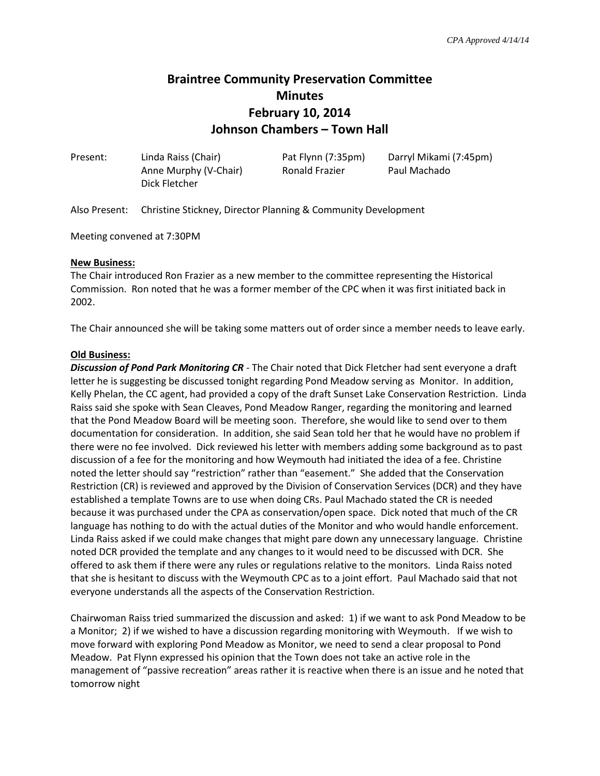# **Braintree Community Preservation Committee Minutes February 10, 2014 Johnson Chambers – Town Hall**

| Present: | Linda Raiss (Chair)   | Pat Flynn (7:35pm) | Darryl Mikami (7:45pm) |
|----------|-----------------------|--------------------|------------------------|
|          | Anne Murphy (V-Chair) | Ronald Frazier     | Paul Machado           |
|          | Dick Fletcher         |                    |                        |

Also Present: Christine Stickney, Director Planning & Community Development

Meeting convened at 7:30PM

#### **New Business:**

The Chair introduced Ron Frazier as a new member to the committee representing the Historical Commission. Ron noted that he was a former member of the CPC when it was first initiated back in 2002.

The Chair announced she will be taking some matters out of order since a member needs to leave early.

### **Old Business:**

*Discussion of Pond Park Monitoring CR -* The Chair noted that Dick Fletcher had sent everyone a draft letter he is suggesting be discussed tonight regarding Pond Meadow serving as Monitor. In addition, Kelly Phelan, the CC agent, had provided a copy of the draft Sunset Lake Conservation Restriction. Linda Raiss said she spoke with Sean Cleaves, Pond Meadow Ranger, regarding the monitoring and learned that the Pond Meadow Board will be meeting soon. Therefore, she would like to send over to them documentation for consideration. In addition, she said Sean told her that he would have no problem if there were no fee involved. Dick reviewed his letter with members adding some background as to past discussion of a fee for the monitoring and how Weymouth had initiated the idea of a fee. Christine noted the letter should say "restriction" rather than "easement." She added that the Conservation Restriction (CR) is reviewed and approved by the Division of Conservation Services (DCR) and they have established a template Towns are to use when doing CRs. Paul Machado stated the CR is needed because it was purchased under the CPA as conservation/open space. Dick noted that much of the CR language has nothing to do with the actual duties of the Monitor and who would handle enforcement. Linda Raiss asked if we could make changes that might pare down any unnecessary language. Christine noted DCR provided the template and any changes to it would need to be discussed with DCR. She offered to ask them if there were any rules or regulations relative to the monitors. Linda Raiss noted that she is hesitant to discuss with the Weymouth CPC as to a joint effort. Paul Machado said that not everyone understands all the aspects of the Conservation Restriction.

Chairwoman Raiss tried summarized the discussion and asked: 1) if we want to ask Pond Meadow to be a Monitor; 2) if we wished to have a discussion regarding monitoring with Weymouth. If we wish to move forward with exploring Pond Meadow as Monitor, we need to send a clear proposal to Pond Meadow. Pat Flynn expressed his opinion that the Town does not take an active role in the management of "passive recreation" areas rather it is reactive when there is an issue and he noted that tomorrow night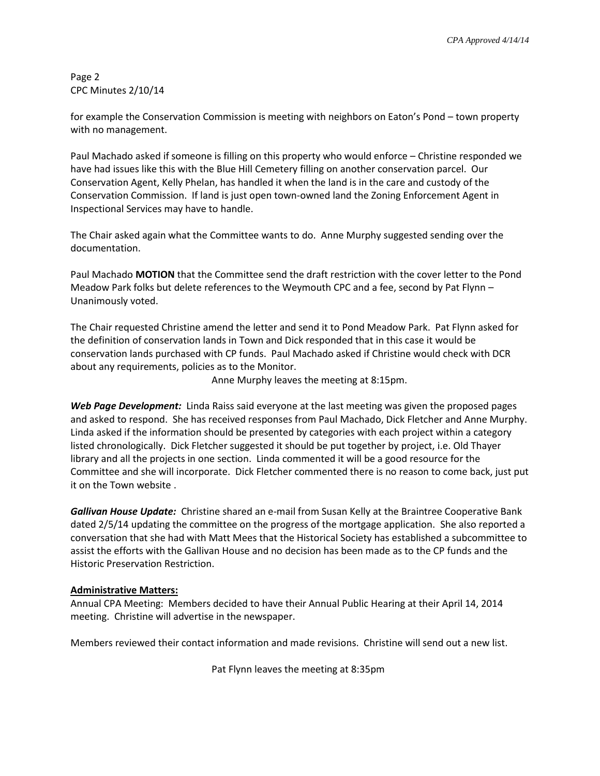Page 2 CPC Minutes 2/10/14

for example the Conservation Commission is meeting with neighbors on Eaton's Pond – town property with no management.

Paul Machado asked if someone is filling on this property who would enforce – Christine responded we have had issues like this with the Blue Hill Cemetery filling on another conservation parcel. Our Conservation Agent, Kelly Phelan, has handled it when the land is in the care and custody of the Conservation Commission. If land is just open town-owned land the Zoning Enforcement Agent in Inspectional Services may have to handle.

The Chair asked again what the Committee wants to do. Anne Murphy suggested sending over the documentation.

Paul Machado **MOTION** that the Committee send the draft restriction with the cover letter to the Pond Meadow Park folks but delete references to the Weymouth CPC and a fee, second by Pat Flynn – Unanimously voted.

The Chair requested Christine amend the letter and send it to Pond Meadow Park. Pat Flynn asked for the definition of conservation lands in Town and Dick responded that in this case it would be conservation lands purchased with CP funds. Paul Machado asked if Christine would check with DCR about any requirements, policies as to the Monitor.

Anne Murphy leaves the meeting at 8:15pm.

*Web Page Development:* Linda Raiss said everyone at the last meeting was given the proposed pages and asked to respond. She has received responses from Paul Machado, Dick Fletcher and Anne Murphy. Linda asked if the information should be presented by categories with each project within a category listed chronologically. Dick Fletcher suggested it should be put together by project, i.e. Old Thayer library and all the projects in one section. Linda commented it will be a good resource for the Committee and she will incorporate. Dick Fletcher commented there is no reason to come back, just put it on the Town website .

*Gallivan House Update:* Christine shared an e-mail from Susan Kelly at the Braintree Cooperative Bank dated 2/5/14 updating the committee on the progress of the mortgage application. She also reported a conversation that she had with Matt Mees that the Historical Society has established a subcommittee to assist the efforts with the Gallivan House and no decision has been made as to the CP funds and the Historic Preservation Restriction.

## **Administrative Matters:**

Annual CPA Meeting: Members decided to have their Annual Public Hearing at their April 14, 2014 meeting. Christine will advertise in the newspaper.

Members reviewed their contact information and made revisions. Christine will send out a new list.

Pat Flynn leaves the meeting at 8:35pm